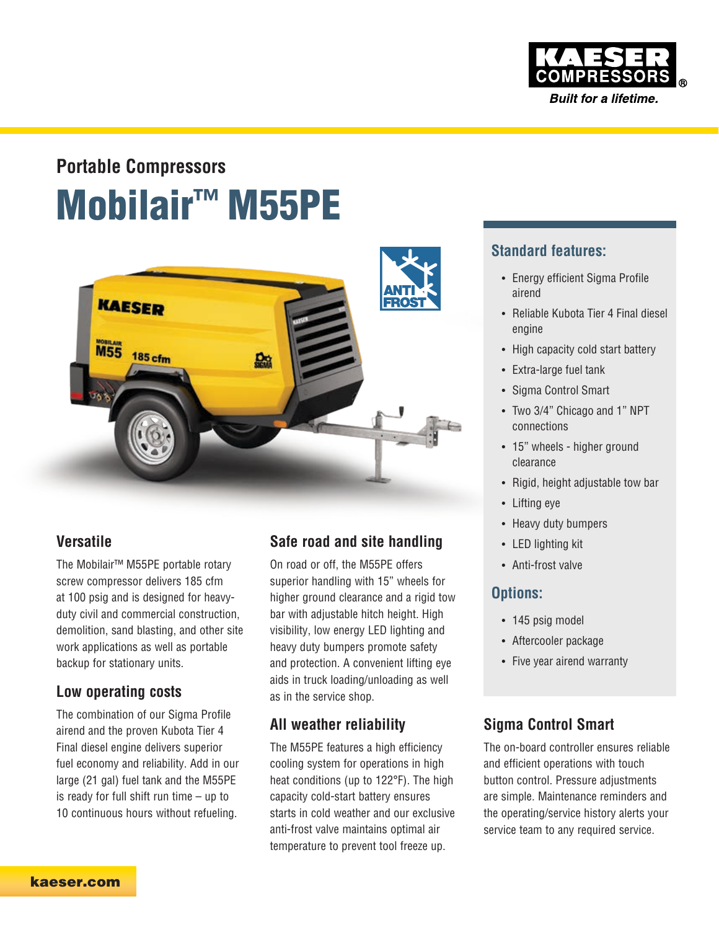

# Mobilair™ M55PE **Portable Compressors**



### **Versatile**

The Mobilair™ M55PE portable rotary screw compressor delivers 185 cfm at 100 psig and is designed for heavyduty civil and commercial construction, demolition, sand blasting, and other site work applications as well as portable backup for stationary units.

#### **Low operating costs**

The combination of our Sigma Profile airend and the proven Kubota Tier 4 Final diesel engine delivers superior fuel economy and reliability. Add in our large (21 gal) fuel tank and the M55PE is ready for full shift run time – up to 10 continuous hours without refueling.

### **Safe road and site handling**

On road or off, the M55PE offers superior handling with 15" wheels for higher ground clearance and a rigid tow bar with adjustable hitch height. High visibility, low energy LED lighting and heavy duty bumpers promote safety and protection. A convenient lifting eye aids in truck loading/unloading as well as in the service shop.

### **All weather reliability**

The M55PE features a high efficiency cooling system for operations in high heat conditions (up to 122°F). The high capacity cold-start battery ensures starts in cold weather and our exclusive anti-frost valve maintains optimal air temperature to prevent tool freeze up.

### **Standard features:**

- Energy efficient Sigma Profile airend
- Reliable Kubota Tier 4 Final diesel engine
- High capacity cold start battery
- Extra-large fuel tank
- Sigma Control Smart
- Two 3/4" Chicago and 1" NPT connections
- 15" wheels higher ground clearance
- Rigid, height adjustable tow bar
- Lifting eye
- Heavy duty bumpers
- LED lighting kit
- Anti-frost valve

### **Options:**

- 145 psig model
- Aftercooler package
- Five year airend warranty

### **Sigma Control Smart**

The on-board controller ensures reliable and efficient operations with touch button control. Pressure adjustments are simple. Maintenance reminders and the operating/service history alerts your service team to any required service.

[kaeser.com](https://www.kaeser.com/int-en/)